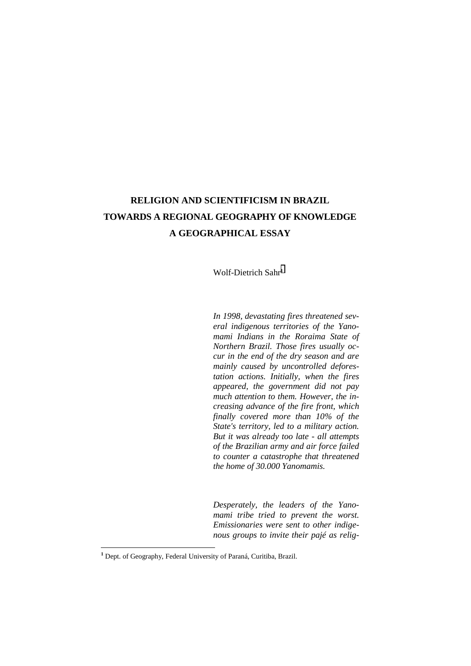# **RELIGION AND SCIENTIFICISM IN BRAZIL TOWARDS A REGIONAL GEOGRAPHY OF KNOWLEDGE A GEOGRAPHICAL ESSAY**

Wolf-Dietrich Sahr**<sup>1</sup>**

*In 1998, devastating fires threatened several indigenous territories of the Yanomami Indians in the Roraima State of Northern Brazil. Those fires usually occur in the end of the dry season and are mainly caused by uncontrolled deforestation actions. Initially, when the fires appeared, the government did not pay much attention to them. However, the increasing advance of the fire front, which finally covered more than 10% of the State's territory, led to a military action. But it was already too late - all attempts of the Brazilian army and air force failed to counter a catastrophe that threatened the home of 30.000 Yanomamis.*

*Desperately, the leaders of the Yanomami tribe tried to prevent the worst. Emissionaries were sent to other indigenous groups to invite their pajé as relig-*

**<sup>1</sup>** Dept. of Geography, Federal University of Paraná, Curitiba, Brazil.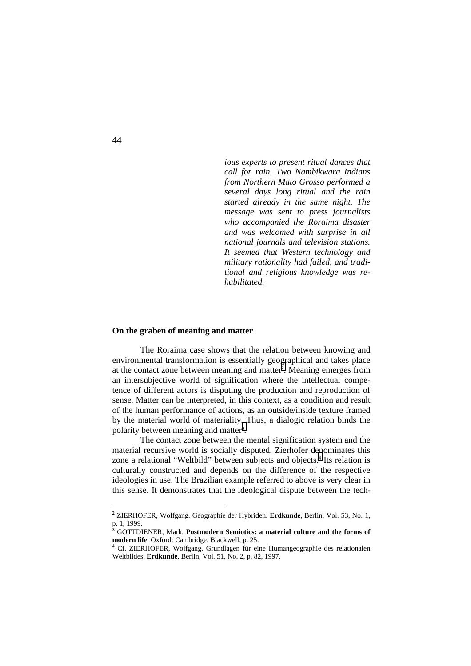*ious experts to present ritual dances that call for rain. Two Nambikwara Indians from Northern Mato Grosso performed a several days long ritual and the rain started already in the same night. The message was sent to press journalists who accompanied the Roraima disaster and was welcomed with surprise in all national journals and television stations. It seemed that Western technology and military rationality had failed, and traditional and religious knowledge was rehabilitated.*

#### **On the graben of meaning and matter**

The Roraima case shows that the relation between knowing and environmental transformation is essentially geographical and takes place at the contact zone between meaning and matter**<sup>2</sup>** . Meaning emerges from an intersubjective world of signification where the intellectual competence of different actors is disputing the production and reproduction of sense. Matter can be interpreted, in this context, as a condition and result of the human performance of actions, as an outside/inside texture framed by the material world of materiality. Thus, a dialogic relation binds the polarity between meaning and matter**<sup>3</sup>** .

The contact zone between the mental signification system and the material recursive world is socially disputed. Zierhofer denominates this zone a relational "Weltbild" between subjects and objects.**<sup>4</sup>** Its relation is culturally constructed and depends on the difference of the respective ideologies in use. The Brazilian example referred to above is very clear in this sense. It demonstrates that the ideological dispute between the tech-

44

**<sup>2</sup>** ZIERHOFER, Wolfgang. Geographie der Hybriden. **Erdkunde**, Berlin, Vol. 53, No. 1, p. 1, 1999. **3**

GOTTDIENER, Mark. **Postmodern Semiotics: a material culture and the forms of modern life**. Oxford: Cambridge, Blackwell, p. 25. **<sup>4</sup>**

<sup>&</sup>lt;sup>4</sup> Cf. ZIERHOFER, Wolfgang. Grundlagen für eine Humangeographie des relationalen Weltbildes. **Erdkunde**, Berlin, Vol. 51, No. 2, p. 82, 1997.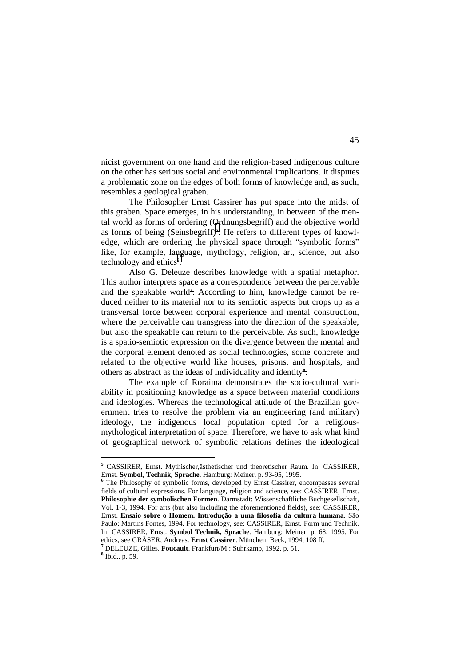nicist government on one hand and the religion-based indigenous culture on the other has serious social and environmental implications. It disputes a problematic zone on the edges of both forms of knowledge and, as such, resembles a geological graben.

The Philosopher Ernst Cassirer has put space into the midst of this graben. Space emerges, in his understanding, in between of the mental world as forms of ordering (Ordnungsbegriff) and the objective world as forms of being (Seinsbegriff)**<sup>5</sup>** . He refers to different types of knowledge, which are ordering the physical space through "symbolic forms" like, for example, language, mythology, religion, art, science, but also technology and ethics**<sup>6</sup>** .

Also G. Deleuze describes knowledge with a spatial metaphor. This author interprets space as a correspondence between the perceivable and the speakable world**<sup>7</sup>** . According to him, knowledge cannot be reduced neither to its material nor to its semiotic aspects but crops up as a transversal force between corporal experience and mental construction, where the perceivable can transgress into the direction of the speakable, but also the speakable can return to the perceivable. As such, knowledge is a spatio-semiotic expression on the divergence between the mental and the corporal element denoted as social technologies, some concrete and related to the objective world like houses, prisons, and hospitals, and others as abstract as the ideas of individuality and identity**<sup>8</sup>** .

The example of Roraima demonstrates the socio-cultural variability in positioning knowledge as a space between material conditions and ideologies. Whereas the technological attitude of the Brazilian government tries to resolve the problem via an engineering (and military) ideology, the indigenous local population opted for a religiousmythological interpretation of space. Therefore, we have to ask what kind of geographical network of symbolic relations defines the ideological

**<sup>5</sup>** CASSIRER, Ernst. Mythischer,ästhetischer und theoretischer Raum. In: CASSIRER, Ernst. **Symbol, Technik, Sprache**. Hamburg: Meiner, p. 93-95, 1995. **<sup>6</sup>**

<sup>&</sup>lt;sup>6</sup> The Philosophy of symbolic forms, developed by Ernst Cassirer, encompasses several fields of cultural expressions. For language, religion and science, see: CASSIRER, Ernst. **Philosophie der symbolischen Formen**. Darmstadt: Wissenschaftliche Buchgesellschaft, Vol. 1-3, 1994. For arts (but also including the aforementioned fields), see: CASSIRER, Ernst. **Ensaio sobre o Homem. Introdução a uma filosofia da cultura humana**. São Paulo: Martins Fontes, 1994. For technology, see: CASSIRER, Ernst. Form und Technik. In: CASSIRER, Ernst. **Symbol Technik, Sprache**. Hamburg: Meiner, p. 68, 1995. For ethics, see GRÄSER, Andreas. **Ernst Cassirer**. München: Beck, 1994, 108 ff. **<sup>7</sup>**

DELEUZE, Gilles. **Foucault**. Frankfurt/M.: Suhrkamp, 1992, p. 51. **<sup>8</sup>**

<sup>&</sup>lt;sup>8</sup> Ibid., p. 59.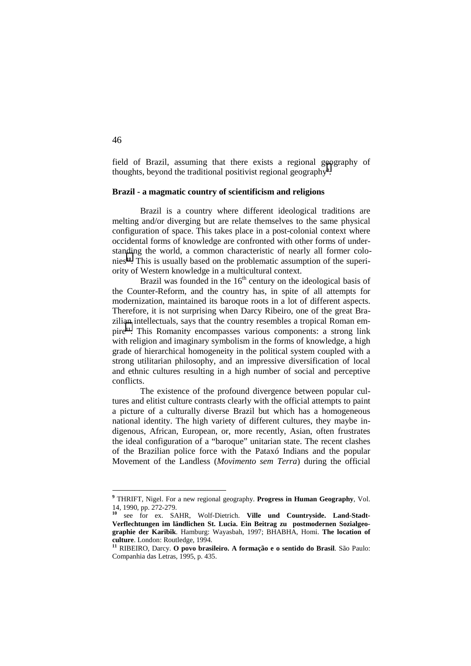field of Brazil, assuming that there exists a regional geography of thoughts, beyond the traditional positivist regional geography**<sup>9</sup>** .

# **Brazil - a magmatic country of scientificism and religions**

Brazil is a country where different ideological traditions are melting and/or diverging but are relate themselves to the same physical configuration of space. This takes place in a post-colonial context where occidental forms of knowledge are confronted with other forms of understanding the world, a common characteristic of nearly all former colonies**10**. This is usually based on the problematic assumption of the superiority of Western knowledge in a multicultural context.

Brazil was founded in the  $16<sup>th</sup>$  century on the ideological basis of the Counter-Reform, and the country has, in spite of all attempts for modernization, maintained its baroque roots in a lot of different aspects. Therefore, it is not surprising when Darcy Ribeiro, one of the great Brazilian intellectuals, says that the country resembles a tropical Roman empire**11**. This Romanity encompasses various components: a strong link with religion and imaginary symbolism in the forms of knowledge, a high grade of hierarchical homogeneity in the political system coupled with a strong utilitarian philosophy, and an impressive diversification of local and ethnic cultures resulting in a high number of social and perceptive conflicts.

The existence of the profound divergence between popular cultures and elitist culture contrasts clearly with the official attempts to paint a picture of a culturally diverse Brazil but which has a homogeneous national identity. The high variety of different cultures, they maybe indigenous, African, European, or, more recently, Asian, often frustrates the ideal configuration of a "baroque" unitarian state. The recent clashes of the Brazilian police force with the Pataxó Indians and the popular Movement of the Landless (*Movimento sem Terra*) during the official

46

**<sup>9</sup>** THRIFT, Nigel. For a new regional geography. **Progress in Human Geography**, Vol. 14, 1990, pp. 272-279.

see for ex. SAHR, Wolf-Dietrich. Ville und Countryside. Land-Stadt-**Verflechtungen im ländlichen St. Lucia. Ein Beitrag zu postmodernen Sozialgeographie der Karibik**. Hamburg: Wayasbah, 1997; BHABHA, Homi. **The location of culture**. London: Routledge, 1994. **<sup>11</sup>** RIBEIRO, Darcy. **O povo brasileiro. A formação e o sentido do Brasil**. São Paulo:

Companhia das Letras, 1995, p. 435.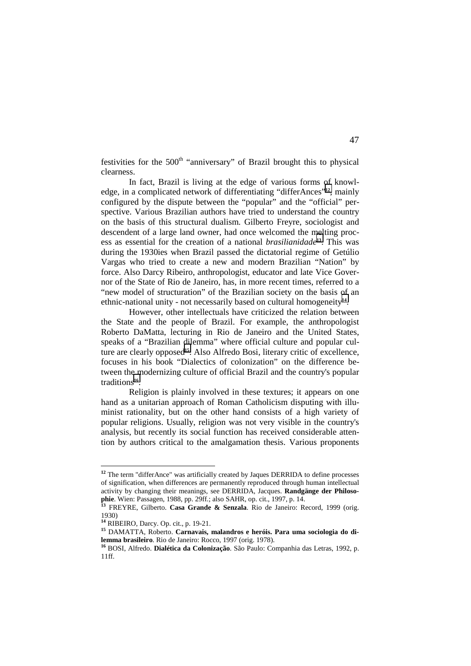festivities for the  $500<sup>th</sup>$  "anniversary" of Brazil brought this to physical clearness.

In fact, Brazil is living at the edge of various forms of knowledge, in a complicated network of differentiating "differAnces"**12**, mainly configured by the dispute between the "popular" and the "official" perspective. Various Brazilian authors have tried to understand the country on the basis of this structural dualism. Gilberto Freyre, sociologist and descendent of a large land owner, had once welcomed the melting process as essential for the creation of a national *brasilianidade***13**. This was during the 1930ies when Brazil passed the dictatorial regime of Getúlio Vargas who tried to create a new and modern Brazilian "Nation" by force. Also Darcy Ribeiro, anthropologist, educator and late Vice Governor of the State of Rio de Janeiro, has, in more recent times, referred to a "new model of structuration" of the Brazilian society on the basis of an ethnic-national unity - not necessarily based on cultural homogeneity**14**.

However, other intellectuals have criticized the relation between the State and the people of Brazil. For example, the anthropologist Roberto DaMatta, lecturing in Rio de Janeiro and the United States, speaks of a "Brazilian dilemma" where official culture and popular culture are clearly opposed**15**. Also Alfredo Bosi, literary critic of excellence, focuses in his book "Dialectics of colonization" on the difference between the modernizing culture of official Brazil and the country's popular traditions**16**.

Religion is plainly involved in these textures; it appears on one hand as a unitarian approach of Roman Catholicism disputing with illuminist rationality, but on the other hand consists of a high variety of popular religions. Usually, religion was not very visible in the country's analysis, but recently its social function has received considerable attention by authors critical to the amalgamation thesis. Various proponents

l

<sup>&</sup>lt;sup>12</sup> The term "differAnce" was artificially created by Jaques DERRIDA to define processes of signification, when differences are permanently reproduced through human intellectual activity by changing their meanings, see DERRIDA, Jacques. **Randgänge der Philoso-**

**FREYRE, Gilberto. Casa Grande & Senzala**. Rio de Janeiro: Record, 1999 (orig. 1930)

**<sup>14</sup>** RIBEIRO, Darcy. Op. cit., p. 19-21.

**<sup>15</sup>** DAMATTA, Roberto. **Carnavais, malandros e heróis. Para uma sociologia do dilemma brasileiro**. Rio de Janeiro: Rocco, 1997 (orig. 1978). **<sup>16</sup>** BOSI, Alfredo. **Dialética da Colonização**. São Paulo: Companhia das Letras, 1992, p.

<sup>11</sup>ff.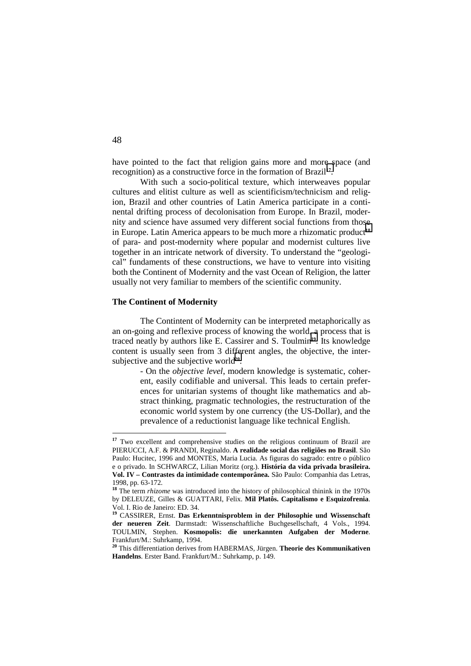have pointed to the fact that religion gains more and more space (and recognition) as a constructive force in the formation of Brazil**17**.

With such a socio-political texture, which interweaves popular cultures and elitist culture as well as scientificism/technicism and religion, Brazil and other countries of Latin America participate in a continental drifting process of decolonisation from Europe. In Brazil, modernity and science have assumed very different social functions from those in Europe. Latin America appears to be much more a rhizomatic product<sup>18</sup> of para- and post-modernity where popular and modernist cultures live together in an intricate network of diversity. To understand the "geological" fundaments of these constructions, we have to venture into visiting both the Continent of Modernity and the vast Ocean of Religion, the latter usually not very familiar to members of the scientific community.

# **The Continent of Modernity**

The Contintent of Modernity can be interpreted metaphorically as an on-going and reflexive process of knowing the world, a process that is traced neatly by authors like E. Cassirer and S. Toulmin**19**. Its knowledge content is usually seen from 3 different angles, the objective, the intersubjective and the subjective world<sup>20</sup>.

> - On the *objective level*, modern knowledge is systematic, coherent, easily codifiable and universal. This leads to certain preferences for unitarian systems of thought like mathematics and abstract thinking, pragmatic technologies, the restructuration of the economic world system by one currency (the US-Dollar), and the prevalence of a reductionist language like technical English.

48

**<sup>17</sup>** Two excellent and comprehensive studies on the religious continuum of Brazil are PIERUCCI, A.F. & PRANDI, Reginaldo. **A realidade social das religiões no Brasil**. São Paulo: Hucitec, 1996 and MONTES, Maria Lucia. As figuras do sagrado: entre o público e o privado. In SCHWARCZ, Lilian Moritz (org.). **História da vida privada brasileira. Vol. IV – Contrastes da intimidade contemporânea.** São Paulo: Companhia das Letras, 1998, pp. 63-172.

<sup>&</sup>lt;sup>18</sup> The term *rhizome* was introduced into the history of philosophical thinink in the 1970s by DELEUZE, Gilles & GUATTARI, Felix. **Mil Platôs. Capitalismo e Esquizofrenia**. Vol. I. Rio de Janeiro: ED. 34.

**<sup>19</sup>** CASSIRER, Ernst. **Das Erkenntnisproblem in der Philosophie und Wissenschaft der neueren Zeit**. Darmstadt: Wissenschaftliche Buchgesellschaft, 4 Vols., 1994. TOULMIN, Stephen. **Kosmopolis: die unerkannten Aufgaben der Moderne**. Frankfurt/M.: Suhrkamp, 1994.

**<sup>20</sup>** This differentiation derives from HABERMAS, Jürgen. **Theorie des Kommunikativen Handelns**. Erster Band. Frankfurt/M.: Suhrkamp, p. 149.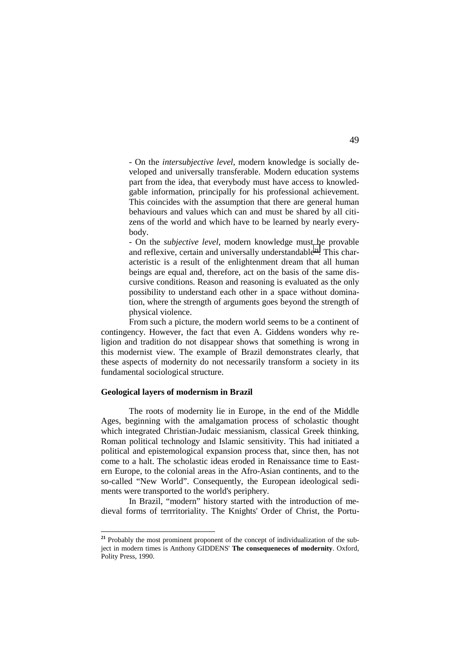- On the *intersubjective level*, modern knowledge is socially developed and universally transferable. Modern education systems part from the idea, that everybody must have access to knowledgable information, principally for his professional achievement. This coincides with the assumption that there are general human behaviours and values which can and must be shared by all citizens of the world and which have to be learned by nearly everybody.

- On the *subjective level*, modern knowledge must be provable and reflexive, certain and universally understandable**21**. This characteristic is a result of the enlightenment dream that all human beings are equal and, therefore, act on the basis of the same discursive conditions. Reason and reasoning is evaluated as the only possibility to understand each other in a space without domination, where the strength of arguments goes beyond the strength of physical violence.

From such a picture, the modern world seems to be a continent of contingency. However, the fact that even A. Giddens wonders why religion and tradition do not disappear shows that something is wrong in this modernist view. The example of Brazil demonstrates clearly, that these aspects of modernity do not necessarily transform a society in its fundamental sociological structure.

## **Geological layers of modernism in Brazil**

 $\overline{a}$ 

The roots of modernity lie in Europe, in the end of the Middle Ages, beginning with the amalgamation process of scholastic thought which integrated Christian-Judaic messianism, classical Greek thinking, Roman political technology and Islamic sensitivity. This had initiated a political and epistemological expansion process that, since then, has not come to a halt. The scholastic ideas eroded in Renaissance time to Eastern Europe, to the colonial areas in the Afro-Asian continents, and to the so-called "New World". Consequently, the European ideological sediments were transported to the world's periphery.

In Brazil, "modern" history started with the introduction of medieval forms of terrritoriality. The Knights' Order of Christ, the Portu-

**<sup>21</sup>** Probably the most prominent proponent of the concept of individualization of the subject in modern times is Anthony GIDDENS' **The consequeneces of modernity**. Oxford, Polity Press, 1990.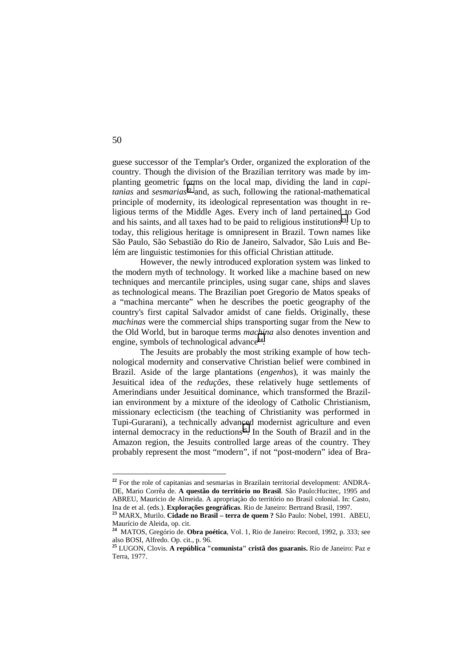guese successor of the Templar's Order, organized the exploration of the country. Though the division of the Brazilian territory was made by implanting geometric forms on the local map, dividing the land in *capitanias* and *sesmarias***22** and, as such, following the rational-mathematical principle of modernity, its ideological representation was thought in religious terms of the Middle Ages. Every inch of land pertained to God and his saints, and all taxes had to be paid to religious institutions**23**. Up to today, this religious heritage is omnipresent in Brazil. Town names like São Paulo, São Sebastião do Rio de Janeiro, Salvador, São Luis and Belém are linguistic testimonies for this official Christian attitude.

However, the newly introduced exploration system was linked to the modern myth of technology. It worked like a machine based on new techniques and mercantile principles, using sugar cane, ships and slaves as technological means. The Brazilian poet Gregorio de Matos speaks of a "machina mercante" when he describes the poetic geography of the country's first capital Salvador amidst of cane fields. Originally, these *machinas* were the commercial ships transporting sugar from the New to the Old World, but in baroque terms *machina* also denotes invention and engine, symbols of technological advance**24**.

The Jesuits are probably the most striking example of how technological modernity and conservative Christian belief were combined in Brazil. Aside of the large plantations (*engenhos*), it was mainly the Jesuitical idea of the *reduções*, these relatively huge settlements of Amerindians under Jesuitical dominance, which transformed the Brazilian environment by a mixture of the ideology of Catholic Christianism, missionary eclecticism (the teaching of Christianity was performed in Tupi-Gurarani), a technically advanced modernist agriculture and even internal democracy in the reductions**25**. In the South of Brazil and in the Amazon region, the Jesuits controlled large areas of the country. They probably represent the most "modern", if not "post-modern" idea of Bra-

50

**<sup>22</sup>** For the role of capitanias and sesmarias in Brazilain territorial development: ANDRA-DE, Mario Corrêa de. **A questão do território no Brasil**. São Paulo:Hucitec, 1995 and ABREU, Mauricio de Almeida. A apropriaçào do território no Brasil colonial. In: Casto, Ina de et al. (eds.). **Explorações geográficas**. Rio de Janeiro: Bertrand Brasil, 1997. **<sup>23</sup>** MARX, Murilo. **Cidade no Brasil – terra de quem ?** São Paulo: Nobel, 1991. ABEU,

Maurício de Aleida, op. cit.

**<sup>24</sup>** MATOS, Gregório de. **Obra poética**, Vol. 1, Rio de Janeiro: Record, 1992, p. 333; see also BOSI, Alfredo. Op. cit., p. 96.

**<sup>25</sup>** LUGON, Clovis. **A república "comunista" cristã dos guaranis.** Rio de Janeiro: Paz e Terra, 1977.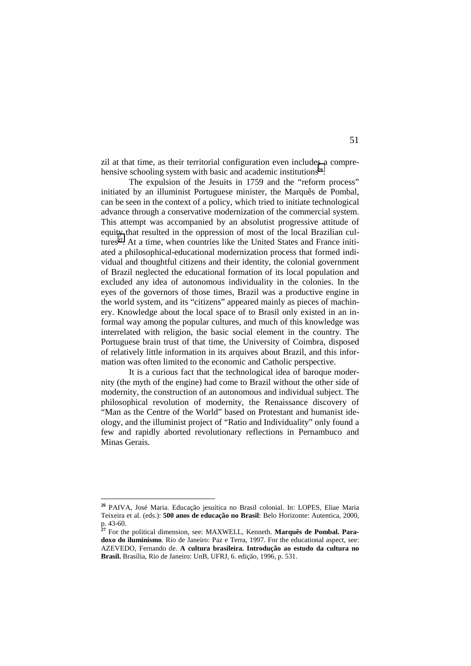zil at that time, as their territorial configuration even includes a comprehensive schooling system with basic and academic institutions<sup>26</sup>.

The expulsion of the Jesuits in 1759 and the "reform process" initiated by an illuminist Portuguese minister, the Marquês de Pombal, can be seen in the context of a policy, which tried to initiate technological advance through a conservative modernization of the commercial system. This attempt was accompanied by an absolutist progressive attitude of equity that resulted in the oppression of most of the local Brazilian cultures**27**. At a time, when countries like the United States and France initiated a philosophical-educational modernization process that formed individual and thoughtful citizens and their identity, the colonial government of Brazil neglected the educational formation of its local population and excluded any idea of autonomous individuality in the colonies. In the eyes of the governors of those times, Brazil was a productive engine in the world system, and its "citizens" appeared mainly as pieces of machinery. Knowledge about the local space of to Brasil only existed in an informal way among the popular cultures, and much of this knowledge was interrelated with religion, the basic social element in the country. The Portuguese brain trust of that time, the University of Coimbra, disposed of relatively little information in its arquives about Brazil, and this information was often limited to the economic and Catholic perspective.

It is a curious fact that the technological idea of baroque modernity (the myth of the engine) had come to Brazil without the other side of modernity, the construction of an autonomous and individual subject. The philosophical revolution of modernity, the Renaissance discovery of "Man as the Centre of the World" based on Protestant and humanist ideology, and the illuminist project of "Ratio and Individuality" only found a few and rapidly aborted revolutionary reflections in Pernambuco and Minas Gerais.

 $\overline{a}$ 

**<sup>26</sup>** PAIVA, José Maria. Educação jesuítica no Brasil colonial. In: LOPES, Eliae Maria Teixeira et al. (eds.): **500 anos de educação no Brasil**: Belo Horizonte: Autentica, 2000, p. 43-60.

**<sup>27</sup>** For the political dimension, see: MAXWELL, Kenneth. **Marquês de Pombal. Paradoxo do iluminismo**. Rio de Janeiro: Paz e Terra, 1997. For the educational aspect, see: AZEVEDO, Fernando de. **A cultura brasileira. Introdução ao estudo da cultura no Brasil.** Brasília, Rio de Janeiro: UnB, UFRJ, 6. edição, 1996, p. 531.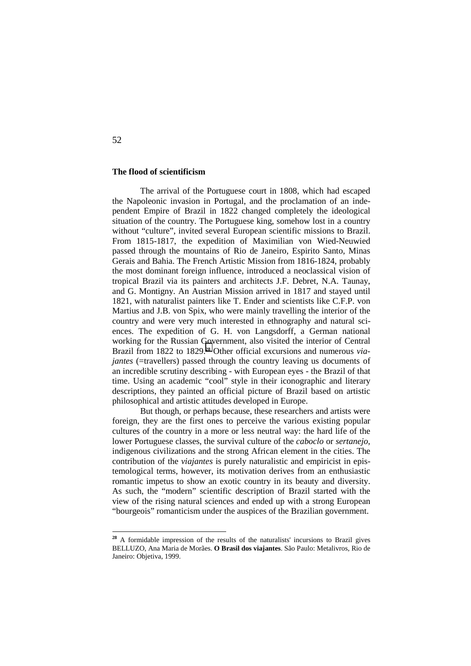## **The flood of scientificism**

The arrival of the Portuguese court in 1808, which had escaped the Napoleonic invasion in Portugal, and the proclamation of an independent Empire of Brazil in 1822 changed completely the ideological situation of the country. The Portuguese king, somehow lost in a country without "culture", invited several European scientific missions to Brazil. From 1815-1817, the expedition of Maximilian von Wied-Neuwied passed through the mountains of Rio de Janeiro, Espirito Santo, Minas Gerais and Bahia. The French Artistic Mission from 1816-1824, probably the most dominant foreign influence, introduced a neoclassical vision of tropical Brazil via its painters and architects J.F. Debret, N.A. Taunay, and G. Montigny. An Austrian Mission arrived in 1817 and stayed until 1821, with naturalist painters like T. Ender and scientists like C.F.P. von Martius and J.B. von Spix, who were mainly travelling the interior of the country and were very much interested in ethnography and natural sciences. The expedition of G. H. von Langsdorff, a German national working for the Russian Government, also visited the interior of Central Brazil from 1822 to 1829.**28** Other official excursions and numerous *viajantes* (=travellers) passed through the country leaving us documents of an incredible scrutiny describing - with European eyes - the Brazil of that time. Using an academic "cool" style in their iconographic and literary descriptions, they painted an official picture of Brazil based on artistic philosophical and artistic attitudes developed in Europe.

But though, or perhaps because, these researchers and artists were foreign, they are the first ones to perceive the various existing popular cultures of the country in a more or less neutral way: the hard life of the lower Portuguese classes, the survival culture of the *caboclo* or *sertanejo*, indigenous civilizations and the strong African element in the cities. The contribution of the *viajantes* is purely naturalistic and empiricist in epistemological terms, however, its motivation derives from an enthusiastic romantic impetus to show an exotic country in its beauty and diversity. As such, the "modern" scientific description of Brazil started with the view of the rising natural sciences and ended up with a strong European "bourgeois" romanticism under the auspices of the Brazilian government.

52

**<sup>28</sup>** A formidable impression of the results of the naturalists' incursions to Brazil gives BELLUZO, Ana Maria de Morães. **O Brasil dos viajantes**. São Paulo: Metalivros, Rio de Janeiro: Objetiva, 1999.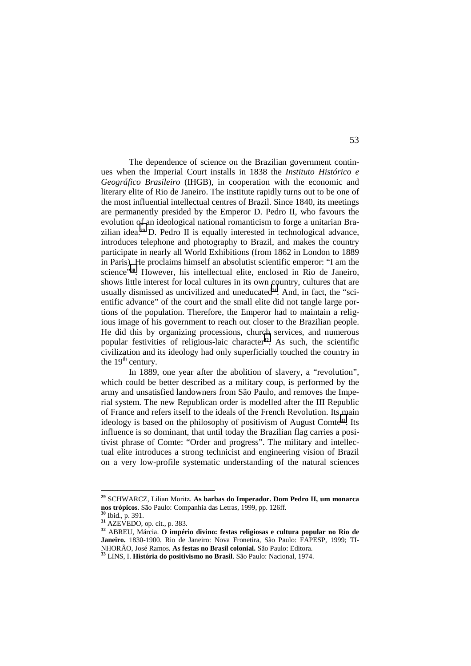The dependence of science on the Brazilian government continues when the Imperial Court installs in 1838 the *Instituto Histórico e Geográfico Brasileiro* (IHGB), in cooperation with the economic and literary elite of Rio de Janeiro. The institute rapidly turns out to be one of the most influential intellectual centres of Brazil. Since 1840, its meetings are permanently presided by the Emperor D. Pedro II, who favours the evolution of an ideological national romanticism to forge a unitarian Brazilian idea.**29** D. Pedro II is equally interested in technological advance, introduces telephone and photography to Brazil, and makes the country participate in nearly all World Exhibitions (from 1862 in London to 1889 in Paris). He proclaims himself an absolutist scientific emperor: "I am the science"**30**. However, his intellectual elite, enclosed in Rio de Janeiro, shows little interest for local cultures in its own country, cultures that are usually dismissed as uncivilized and uneducated**31**. And, in fact, the "scientific advance" of the court and the small elite did not tangle large portions of the population. Therefore, the Emperor had to maintain a religious image of his government to reach out closer to the Brazilian people. He did this by organizing processions, church services, and numerous popular festivities of religious-laic character**32**. As such, the scientific civilization and its ideology had only superficially touched the country in the  $19<sup>th</sup>$  century.

In 1889, one year after the abolition of slavery, a "revolution", which could be better described as a military coup, is performed by the army and unsatisfied landowners from São Paulo, and removes the Imperial system. The new Republican order is modelled after the III Republic of France and refers itself to the ideals of the French Revolution. Its main ideology is based on the philosophy of positivism of August Comte**33**. Its influence is so dominant, that until today the Brazilian flag carries a positivist phrase of Comte: "Order and progress". The military and intellectual elite introduces a strong technicist and engineering vision of Brazil on a very low-profile systematic understanding of the natural sciences

**<sup>29</sup>** SCHWARCZ, Lilian Moritz. **As barbas do Imperador. Dom Pedro II, um monarca nos trópicos**. São Paulo: Companhia das Letras, 1999, pp. 126ff. **<sup>30</sup>** Ibid., p. 391.

**<sup>31</sup>** AZEVEDO, op. cit., p. 383.

**<sup>32</sup>** ABREU, Márcia. **O império divino: festas religiosas e cultura popular no Rio de** Janeiro. 1830-1900. Rio de Janeiro: Nova Fronetira, São Paulo: FAPESP, 1999; TI-NHORÃO, José Ramos. As festas no Brasil colonial. São Paulo: Editora.

<sup>&</sup>lt;sup>33</sup> LINS, I. História do positivismo no Brasil. São Paulo: Nacional, 1974.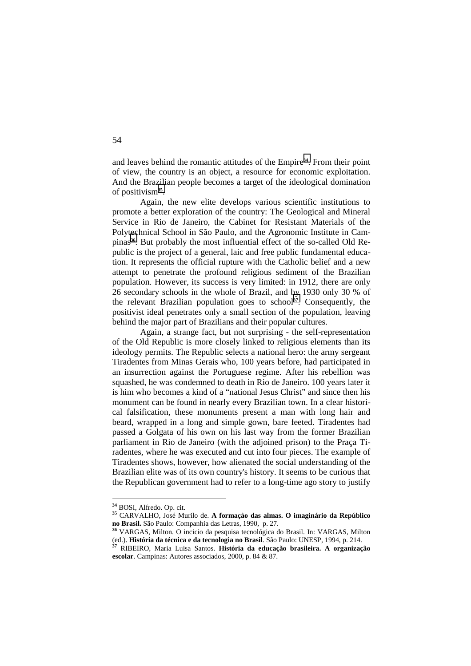and leaves behind the romantic attitudes of the Empire**34**. From their point of view, the country is an object, a resource for economic exploitation. And the Brazilian people becomes a target of the ideological domination of positivism**35**.

Again, the new elite develops various scientific institutions to promote a better exploration of the country: The Geological and Mineral Service in Rio de Janeiro, the Cabinet for Resistant Materials of the Polytechnical School in São Paulo, and the Agronomic Institute in Campinas**36**. But probably the most influential effect of the so-called Old Republic is the project of a general, laic and free public fundamental education. It represents the official rupture with the Catholic belief and a new attempt to penetrate the profound religious sediment of the Brazilian population. However, its success is very limited: in 1912, there are only 26 secondary schools in the whole of Brazil, and by 1930 only 30 % of the relevant Brazilian population goes to school**37**. Consequently, the positivist ideal penetrates only a small section of the population, leaving behind the major part of Brazilians and their popular cultures.

Again, a strange fact, but not surprising - the self-representation of the Old Republic is more closely linked to religious elements than its ideology permits. The Republic selects a national hero: the army sergeant Tiradentes from Minas Gerais who, 100 years before, had participated in an insurrection against the Portuguese regime. After his rebellion was squashed, he was condemned to death in Rio de Janeiro. 100 years later it is him who becomes a kind of a "national Jesus Christ" and since then his monument can be found in nearly every Brazilian town. In a clear historical falsification, these monuments present a man with long hair and beard, wrapped in a long and simple gown, bare feeted. Tiradentes had passed a Golgata of his own on his last way from the former Brazilian parliament in Rio de Janeiro (with the adjoined prison) to the Praça Tiradentes, where he was executed and cut into four pieces. The example of Tiradentes shows, however, how alienated the social understanding of the Brazilian elite was of its own country's history. It seems to be curious that the Republican government had to refer to a long-time ago story to justify

 $\overline{a}$ 

**<sup>34</sup>** BOSI, Alfredo. Op. cit.

**<sup>35</sup>** CARVALHO, José Murilo de. **A formaçào das almas. O imaginário da Repúblico**

**no Brasil.** São Paulo: Companhia das Letras, 1990, p. 27. **<sup>36</sup>** VARGAS, Milton. O incicio da pesquisa tecnológica do Brasil. In: VARGAS, Milton (ed.). **História da técnica e da tecnologia no Brasil**. São Paulo: UNESP, 1994, p. 214. **<sup>37</sup>** RIBEIRO, Maria Luisa Santos. **História da educação brasileira. A organização**

**escolar**. Campinas: Autores associados, 2000, p. 84 & 87.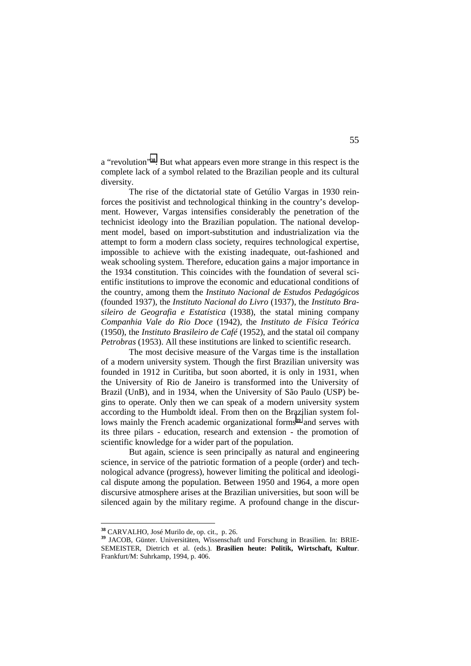a "revolution"**38**. But what appears even more strange in this respect is the complete lack of a symbol related to the Brazilian people and its cultural diversity.

The rise of the dictatorial state of Getúlio Vargas in 1930 reinforces the positivist and technological thinking in the country's development. However, Vargas intensifies considerably the penetration of the technicist ideology into the Brazilian population. The national development model, based on import-substitution and industrialization via the attempt to form a modern class society, requires technological expertise, impossible to achieve with the existing inadequate, out-fashioned and weak schooling system. Therefore, education gains a major importance in the 1934 constitution. This coincides with the foundation of several scientific institutions to improve the economic and educational conditions of the country, among them the *Instituto Nacional de Estudos Pedagógicos* (founded 1937), the *Instituto Nacional do Livro* (1937), the *Instituto Brasileiro de Geografia e Estatística* (1938), the statal mining company *Companhia Vale do Rio Doce* (1942), the *Instituto de Física Teórica* (1950), the *Instituto Brasileiro de Café* (1952), and the statal oil company *Petrobras* (1953). All these institutions are linked to scientific research.

The most decisive measure of the Vargas time is the installation of a modern university system. Though the first Brazilian university was founded in 1912 in Curitiba, but soon aborted, it is only in 1931, when the University of Rio de Janeiro is transformed into the University of Brazil (UnB), and in 1934, when the University of São Paulo (USP) begins to operate. Only then we can speak of a modern university system according to the Humboldt ideal. From then on the Brazilian system follows mainly the French academic organizational forms**39** and serves with its three pilars - education, research and extension - the promotion of scientific knowledge for a wider part of the population.

But again, science is seen principally as natural and engineering science, in service of the patriotic formation of a people (order) and technological advance (progress), however limiting the political and ideological dispute among the population. Between 1950 and 1964, a more open discursive atmosphere arises at the Brazilian universities, but soon will be silenced again by the military regime. A profound change in the discur-

 $\overline{a}$ 

**<sup>38</sup>** CARVALHO, José Murilo de, op. cit., p. 26.

**<sup>39</sup>** JACOB, Günter. Universitäten, Wissenschaft und Forschung in Brasilien. In: BRIE-SEMEISTER, Dietrich et al. (eds.). **Brasilien heute: Politik, Wirtschaft, Kultur**. Frankfurt/M: Suhrkamp, 1994, p. 406.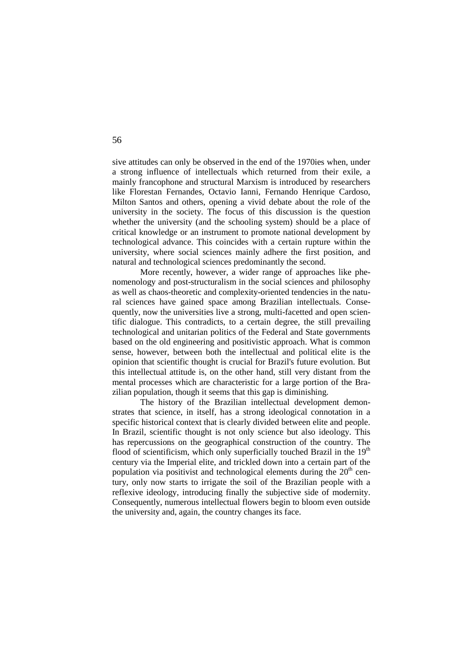sive attitudes can only be observed in the end of the 1970ies when, under a strong influence of intellectuals which returned from their exile, a mainly francophone and structural Marxism is introduced by researchers like Florestan Fernandes, Octavio Ianni, Fernando Henrique Cardoso, Milton Santos and others, opening a vivid debate about the role of the university in the society. The focus of this discussion is the question whether the university (and the schooling system) should be a place of critical knowledge or an instrument to promote national development by technological advance. This coincides with a certain rupture within the university, where social sciences mainly adhere the first position, and natural and technological sciences predominantly the second.

More recently, however, a wider range of approaches like phenomenology and post-structuralism in the social sciences and philosophy as well as chaos-theoretic and complexity-oriented tendencies in the natural sciences have gained space among Brazilian intellectuals. Consequently, now the universities live a strong, multi-facetted and open scientific dialogue. This contradicts, to a certain degree, the still prevailing technological and unitarian politics of the Federal and State governments based on the old engineering and positivistic approach. What is common sense, however, between both the intellectual and political elite is the opinion that scientific thought is crucial for Brazil's future evolution. But this intellectual attitude is, on the other hand, still very distant from the mental processes which are characteristic for a large portion of the Brazilian population, though it seems that this gap is diminishing.

The history of the Brazilian intellectual development demonstrates that science, in itself, has a strong ideological connotation in a specific historical context that is clearly divided between elite and people. In Brazil, scientific thought is not only science but also ideology. This has repercussions on the geographical construction of the country. The flood of scientificism, which only superficially touched Brazil in the  $19<sup>th</sup>$ century via the Imperial elite, and trickled down into a certain part of the population via positivist and technological elements during the  $20<sup>th</sup>$  century, only now starts to irrigate the soil of the Brazilian people with a reflexive ideology, introducing finally the subjective side of modernity. Consequently, numerous intellectual flowers begin to bloom even outside the university and, again, the country changes its face.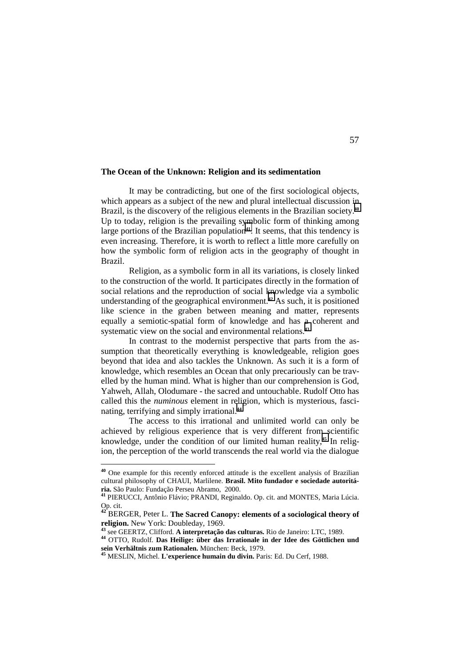## **The Ocean of the Unknown: Religion and its sedimentation**

It may be contradicting, but one of the first sociological objects, which appears as a subject of the new and plural intellectual discussion in Brazil, is the discovery of the religious elements in the Brazilian society.**<sup>40</sup>** Up to today, religion is the prevailing symbolic form of thinking among large portions of the Brazilian population<sup>41</sup>. It seems, that this tendency is even increasing. Therefore, it is worth to reflect a little more carefully on how the symbolic form of religion acts in the geography of thought in Brazil.

Religion, as a symbolic form in all its variations, is closely linked to the construction of the world. It participates directly in the formation of social relations and the reproduction of social knowledge via a symbolic understanding of the geographical environment.**42** As such, it is positioned like science in the graben between meaning and matter, represents equally a semiotic-spatial form of knowledge and has a coherent and systematic view on the social and environmental relations.**<sup>43</sup>**

In contrast to the modernist perspective that parts from the assumption that theoretically everything is knowledgeable, religion goes beyond that idea and also tackles the Unknown. As such it is a form of knowledge, which resembles an Ocean that only precariously can be travelled by the human mind. What is higher than our comprehension is God, Yahweh, Allah, Olodumare - the sacred and untouchable. Rudolf Otto has called this the *numinous* element in religion, which is mysterious, fascinating, terrifying and simply irrational.**<sup>44</sup>**

The access to this irrational and unlimited world can only be achieved by religious experience that is very different from scientific knowledge, under the condition of our limited human reality,**45** In religion, the perception of the world transcends the real world via the dialogue

**<sup>40</sup>** One example for this recently enforced attitude is the excellent analysis of Brazilian cultural philosophy of CHAUI, Marlilene. **Brasil. Mito fundador e sociedade autoritária.** São Paulo: Fundação Perseu Abramo, 2000. **<sup>41</sup>** PIERUCCI, Antônio Flávio; PRANDI, Reginaldo. Op. cit. and MONTES, Maria Lúcia.

Op. cit.

**<sup>42</sup>** BERGER, Peter L. **The Sacred Canopy: elements of a sociological theory of** religion. New York: Doubleday, 1969.<br><sup>43</sup> see GEERTZ, Clifford. A interpretação das culturas. Rio de Janeiro: LTC, 1989.<br><sup>44</sup> OTTO. Rudolf. **Das Heilige: über das Irrationale in der Idee des Göttlichen und** 

**sein Verhältnis zum Rationalen.** München: Beck, 1979. **<sup>45</sup>** MESLIN, Michel. **L'experience humain du divin.** Paris: Ed. Du Cerf, 1988.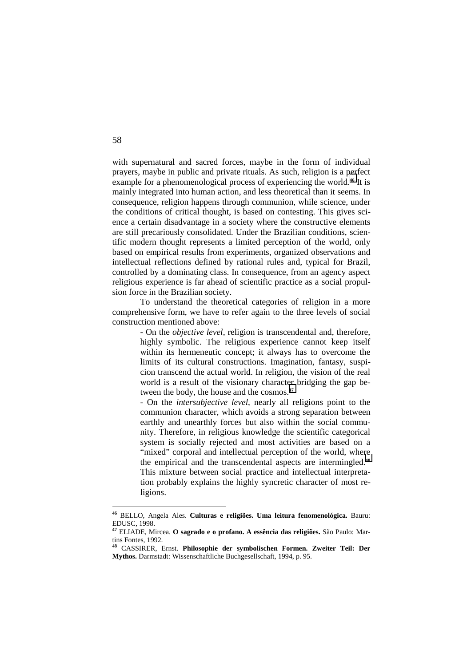with supernatural and sacred forces, maybe in the form of individual prayers, maybe in public and private rituals. As such, religion is a perfect example for a phenomenological process of experiencing the world.**46** It is mainly integrated into human action, and less theoretical than it seems. In consequence, religion happens through communion, while science, under the conditions of critical thought, is based on contesting. This gives science a certain disadvantage in a society where the constructive elements are still precariously consolidated. Under the Brazilian conditions, scientific modern thought represents a limited perception of the world, only based on empirical results from experiments, organized observations and intellectual reflections defined by rational rules and, typical for Brazil, controlled by a dominating class. In consequence, from an agency aspect religious experience is far ahead of scientific practice as a social propulsion force in the Brazilian society.

To understand the theoretical categories of religion in a more comprehensive form, we have to refer again to the three levels of social construction mentioned above:

> - On the *objective level*, religion is transcendental and, therefore, highly symbolic. The religious experience cannot keep itself within its hermeneutic concept; it always has to overcome the limits of its cultural constructions. Imagination, fantasy, suspicion transcend the actual world. In religion, the vision of the real world is a result of the visionary character bridging the gap between the body, the house and the cosmos.**<sup>47</sup>**

> - On the *intersubjective level*, nearly all religions point to the communion character, which avoids a strong separation between earthly and unearthly forces but also within the social community. Therefore, in religious knowledge the scientific categorical system is socially rejected and most activities are based on a "mixed" corporal and intellectual perception of the world, where the empirical and the transcendental aspects are intermingled.**<sup>48</sup>** This mixture between social practice and intellectual interpretation probably explains the highly syncretic character of most religions.

58

**<sup>46</sup>** BELLO, Angela Ales. **Culturas e religiões. Uma leitura fenomenológica.** Bauru: EDUSC, 1998.

**<sup>47</sup>** ELIADE, Mircea. **O sagrado e o profano. A essência das religiões.** São Paulo: Martins Fontes, 1992.

**<sup>48</sup>** CASSIRER, Ernst. **Philosophie der symbolischen Formen. Zweiter Teil: Der Mythos.** Darmstadt: Wissenschaftliche Buchgesellschaft, 1994, p. 95.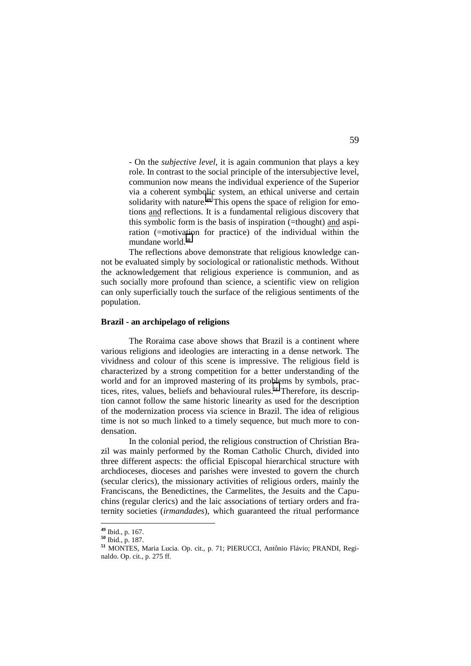- On the *subjective level*, it is again communion that plays a key role. In contrast to the social principle of the intersubjective level, communion now means the individual experience of the Superior via a coherent symbolic system, an ethical universe and certain solidarity with nature.**49** This opens the space of religion for emotions and reflections. It is a fundamental religious discovery that this symbolic form is the basis of inspiration (=thought) and aspiration (=motivation for practice) of the individual within the mundane world.**<sup>50</sup>**

The reflections above demonstrate that religious knowledge cannot be evaluated simply by sociological or rationalistic methods. Without the acknowledgement that religious experience is communion, and as such socially more profound than science, a scientific view on religion can only superficially touch the surface of the religious sentiments of the population.

## **Brazil - an archipelago of religions**

The Roraima case above shows that Brazil is a continent where various religions and ideologies are interacting in a dense network. The vividness and colour of this scene is impressive. The religious field is characterized by a strong competition for a better understanding of the world and for an improved mastering of its problems by symbols, practices, rites, values, beliefs and behavioural rules.**51** Therefore, its description cannot follow the same historic linearity as used for the description of the modernization process via science in Brazil. The idea of religious time is not so much linked to a timely sequence, but much more to condensation.

In the colonial period, the religious construction of Christian Brazil was mainly performed by the Roman Catholic Church, divided into three different aspects: the official Episcopal hierarchical structure with archdioceses, dioceses and parishes were invested to govern the church (secular clerics), the missionary activities of religious orders, mainly the Franciscans, the Benedictines, the Carmelites, the Jesuits and the Capuchins (regular clerics) and the laic associations of tertiary orders and fraternity societies (*irmandades*), which guaranteed the ritual performance

 $\overline{a}$ **<sup>49</sup>** Ibid., p. 167.

**<sup>50</sup>** Ibid., p. 187.

**<sup>51</sup>** MONTES, Maria Lucia. Op. cit., p. 71; PIERUCCI, Antônio Flávio; PRANDI, Reginaldo. Op. cit., p. 275 ff.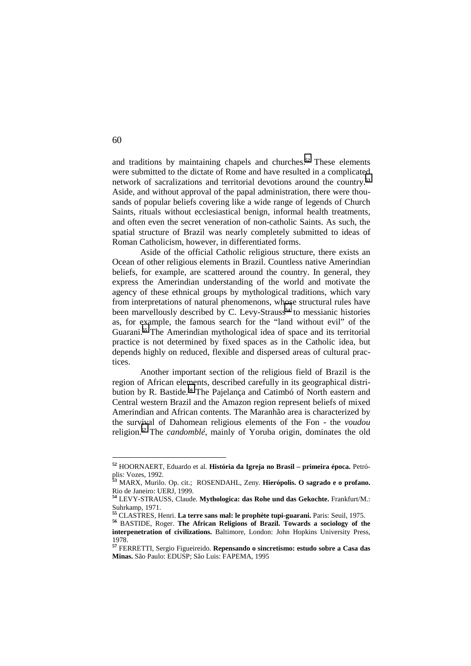and traditions by maintaining chapels and churches.**52** These elements were submitted to the dictate of Rome and have resulted in a complicated network of sacralizations and territorial devotions around the country.**<sup>53</sup>** Aside, and without approval of the papal administration, there were thousands of popular beliefs covering like a wide range of legends of Church Saints, rituals without ecclesiastical benign, informal health treatments, and often even the secret veneration of non-catholic Saints. As such, the spatial structure of Brazil was nearly completely submitted to ideas of Roman Catholicism, however, in differentiated forms.

Aside of the official Catholic religious structure, there exists an Ocean of other religious elements in Brazil. Countless native Amerindian beliefs, for example, are scattered around the country. In general, they express the Amerindian understanding of the world and motivate the agency of these ethnical groups by mythological traditions, which vary from interpretations of natural phenomenons, whose structural rules have been marvellously described by C. Levy-Strauss<sup>54</sup> to messianic histories as, for example, the famous search for the "land without evil" of the Guarani.**55** The Amerindian mythological idea of space and its territorial practice is not determined by fixed spaces as in the Catholic idea, but depends highly on reduced, flexible and dispersed areas of cultural practices.

Another important section of the religious field of Brazil is the region of African elements, described carefully in its geographical distribution by R. Bastide.**56** The Pajelança and Catimbó of North eastern and Central western Brazil and the Amazon region represent beliefs of mixed Amerindian and African contents. The Maranhão area is characterized by the survival of Dahomean religious elements of the Fon - the *voudou* religion.**57** The *candomblé*, mainly of Yoruba origin, dominates the old

60

**<sup>52</sup>** HOORNAERT, Eduardo et al. **História da Igreja no Brasil – primeira época.** Petróplis: Vozes, 1992.

**<sup>53</sup>** MARX, Murilo. Op. cit.; ROSENDAHL, Zeny. **Hierópolis. O sagrado e o profano.** Rio de Janeiro: UERJ, 1999.

**<sup>54</sup>** LEVY-STRAUSS, Claude. **Mythologica: das Rohe und das Gekochte.** Frankfurt/M.: Suhrkamp, 1971.<br><sup>55</sup> CLASTRES, Henri. **La terre sans mal: le prophète tupi-guarani.** Paris: Seuil. 1975.

<sup>56</sup> BASTIDE, Roger. **The African Religions of Brazil.** Towards a sociology of the **interpenetration of civilizations.** Baltimore, London: John Hopkins University Press, 1978.

**<sup>57</sup>** FERRETTI, Sergio Figueireido. **Repensando o sincretismo: estudo sobre a Casa das Minas.** São Paulo: EDUSP; São Luis: FAPEMA, 1995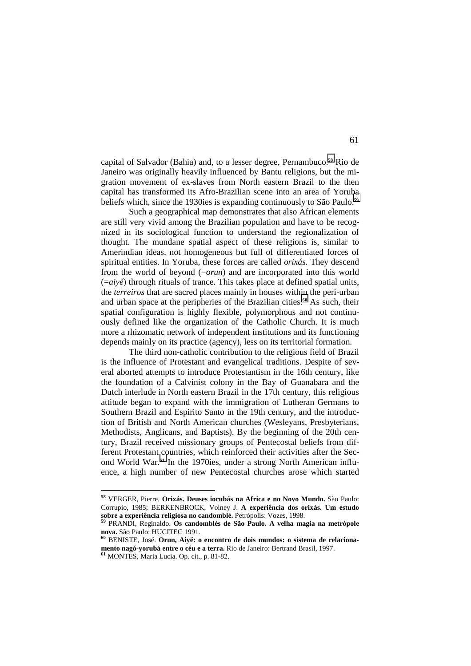capital of Salvador (Bahia) and, to a lesser degree, Pernambuco.**58** Rio de Janeiro was originally heavily influenced by Bantu religions, but the migration movement of ex-slaves from North eastern Brazil to the then capital has transformed its Afro-Brazilian scene into an area of Yoruba beliefs which, since the 1930ies is expanding continuously to São Paulo.**<sup>59</sup>**

Such a geographical map demonstrates that also African elements are still very vivid among the Brazilian population and have to be recognized in its sociological function to understand the regionalization of thought. The mundane spatial aspect of these religions is, similar to Amerindian ideas, not homogeneous but full of differentiated forces of spiritual entities. In Yoruba, these forces are called *orixás.* They descend from the world of beyond (=*orun*) and are incorporated into this world (=*aiyé*) through rituals of trance. This takes place at defined spatial units, the *terreiros* that are sacred places mainly in houses within the peri-urban and urban space at the peripheries of the Brazilian cities.**60** As such, their spatial configuration is highly flexible, polymorphous and not continuously defined like the organization of the Catholic Church. It is much more a rhizomatic network of independent institutions and its functioning depends mainly on its practice (agency), less on its territorial formation.

The third non-catholic contribution to the religious field of Brazil is the influence of Protestant and evangelical traditions. Despite of several aborted attempts to introduce Protestantism in the 16th century, like the foundation of a Calvinist colony in the Bay of Guanabara and the Dutch interlude in North eastern Brazil in the 17th century, this religious attitude began to expand with the immigration of Lutheran Germans to Southern Brazil and Espirito Santo in the 19th century, and the introduction of British and North American churches (Wesleyans, Presbyterians, Methodists, Anglicans, and Baptists). By the beginning of the 20th century, Brazil received missionary groups of Pentecostal beliefs from different Protestant countries, which reinforced their activities after the Second World War.**61** In the 1970ies, under a strong North American influence, a high number of new Pentecostal churches arose which started

**<sup>58</sup>** VERGER, Pierre. **Orixás. Deuses iorubás na Africa e no Novo Mundo.** São Paulo: Corrupio, 1985; BERKENBROCK, Volney J. **A experiência dos orixás. Um estudo sobre a experiência religiosa no candomblé.** Petrópolis: Vozes, 1998. **<sup>59</sup>** PRANDI, Reginaldo. **Os candomblés de São Paulo. A velha magia na metrópole**

**nova.** São Paulo: HUCITEC 1991. **<sup>60</sup>** BENISTE, José. **Orun, Aiyé: o encontro de dois mundos: o sistema de relaciona-**

**mento nagó-yorubá entre o céu e a terra.** Rio de Janeiro: Bertrand Brasil, 1997. **<sup>61</sup>** MONTES, Maria Lucia. Op. cit., p. 81-82.

<sup>61</sup>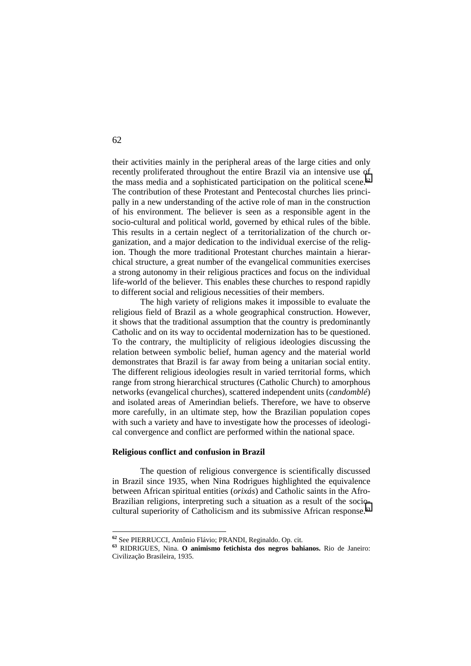their activities mainly in the peripheral areas of the large cities and only recently proliferated throughout the entire Brazil via an intensive use of the mass media and a sophisticated participation on the political scene.**<sup>62</sup>** The contribution of these Protestant and Pentecostal churches lies principally in a new understanding of the active role of man in the construction of his environment. The believer is seen as a responsible agent in the socio-cultural and political world, governed by ethical rules of the bible. This results in a certain neglect of a territorialization of the church organization, and a major dedication to the individual exercise of the religion. Though the more traditional Protestant churches maintain a hierarchical structure, a great number of the evangelical communities exercises a strong autonomy in their religious practices and focus on the individual life-world of the believer. This enables these churches to respond rapidly to different social and religious necessities of their members.

The high variety of religions makes it impossible to evaluate the religious field of Brazil as a whole geographical construction. However, it shows that the traditional assumption that the country is predominantly Catholic and on its way to occidental modernization has to be questioned. To the contrary, the multiplicity of religious ideologies discussing the relation between symbolic belief, human agency and the material world demonstrates that Brazil is far away from being a unitarian social entity. The different religious ideologies result in varied territorial forms, which range from strong hierarchical structures (Catholic Church) to amorphous networks (evangelical churches), scattered independent units (*candomblé*) and isolated areas of Amerindian beliefs. Therefore, we have to observe more carefully, in an ultimate step, how the Brazilian population copes with such a variety and have to investigate how the processes of ideological convergence and conflict are performed within the national space.

# **Religious conflict and confusion in Brazil**

The question of religious convergence is scientifically discussed in Brazil since 1935, when Nina Rodrigues highlighted the equivalence between African spiritual entities (*orixás*) and Catholic saints in the Afro-Brazilian religions, interpreting such a situation as a result of the sociocultural superiority of Catholicism and its submissive African response.**<sup>63</sup>**

62

**<sup>62</sup>** See PIERRUCCI, Antônio Flávio; PRANDI, Reginaldo. Op. cit.

**<sup>63</sup>** RIDRIGUES, Nina. **O animismo fetichista dos negros bahianos.** Rio de Janeiro: Civilização Brasileira, 1935.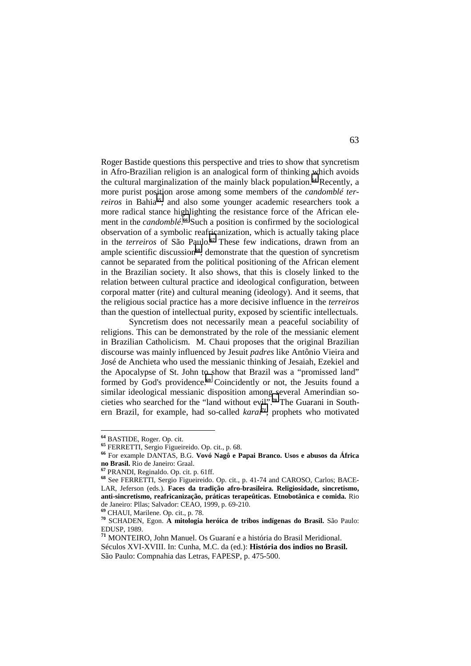Roger Bastide questions this perspective and tries to show that syncretism in Afro-Brazilian religion is an analogical form of thinking which avoids the cultural marginalization of the mainly black population.**64** Recently, a more purist position arose among some members of the *candomblé terreiros* in Bahia**65**, and also some younger academic researchers took a more radical stance highlighting the resistance force of the African element in the *candomblé*.<sup>66</sup> Such a position is confirmed by the sociological observation of a symbolic reafricanization, which is actually taking place in the *terreiros* of São Paulo.**67** These few indications, drawn from an ample scientific discussion<sup>68</sup>, demonstrate that the question of syncretism cannot be separated from the political positioning of the African element in the Brazilian society. It also shows, that this is closely linked to the relation between cultural practice and ideological configuration, between corporal matter (rite) and cultural meaning (ideology). And it seems, that the religious social practice has a more decisive influence in the *terreiros* than the question of intellectual purity, exposed by scientific intellectuals.

Syncretism does not necessarily mean a peaceful sociability of religions. This can be demonstrated by the role of the messianic element in Brazilian Catholicism. M. Chaui proposes that the original Brazilian discourse was mainly influenced by Jesuit *padres* like Antônio Vieira and José de Anchieta who used the messianic thinking of Jesaiah, Ezekiel and the Apocalypse of St. John to show that Brazil was a "promissed land" formed by God's providence.**69** Coincidently or not, the Jesuits found a similar ideological messianic disposition among several Amerindian societies who searched for the "land without evil".**70** The Guarani in Southern Brazil, for example, had so-called *karaí71*, prophets who motivated

 $\overline{a}$ 

**<sup>64</sup>** BASTIDE, Roger. Op. cit.

**<sup>65</sup>** FERRETTI, Sergio Figueireido. Op. cit., p. 68.

**<sup>66</sup>** For example DANTAS, B.G. **Vovó Nagô e Papai Branco. Usos e abusos da África no Brasil.** Rio de Janeiro: Graal. **<sup>67</sup>** PRANDI, Reginaldo. Op. cit. p. 61ff.

**<sup>68</sup>** See FERRETTI, Sergio Figueireido. Op. cit., p. 41-74 and CAROSO, Carlos; BACE-LAR, Jeferson (eds.). **Faces da tradição afro-brasileira. Religiosidade, sincretismo, anti-sincretismo, reafricanização, práticas terapeûticas. Etnobotânica e comida.** Rio de Janeiro: Pllas; Salvador: CEAO, 1999, p. 69-210.

**<sup>69</sup>** CHAUI, Marilene. Op. cit., p. 78.

**<sup>70</sup>** SCHADEN, Egon. **A mitologia heróica de tribos indígenas do Brasil.** São Paulo: EDUSP, 1989.

**<sup>71</sup>** MONTEIRO, John Manuel. Os Guaraní e a história do Brasil Meridional.

Séculos XVI-XVIII. In: Cunha, M.C. da (ed.): **História dos indios no Brasil.** São Paulo: Compnahia das Letras, FAPESP, p. 475-500.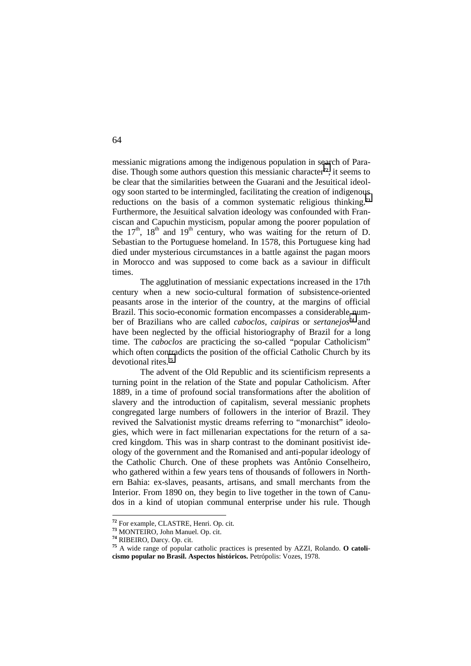messianic migrations among the indigenous population in search of Paradise. Though some authors question this messianic character**72**, it seems to be clear that the similarities between the Guarani and the Jesuitical ideology soon started to be intermingled, facilitating the creation of indigenous reductions on the basis of a common systematic religious thinking.**<sup>73</sup>** Furthermore, the Jesuitical salvation ideology was confounded with Franciscan and Capuchin mysticism, popular among the poorer population of the  $17<sup>th</sup>$ ,  $18<sup>th</sup>$  and  $19<sup>th</sup>$  century, who was waiting for the return of D. Sebastian to the Portuguese homeland. In 1578, this Portuguese king had died under mysterious circumstances in a battle against the pagan moors in Morocco and was supposed to come back as a saviour in difficult times.

The agglutination of messianic expectations increased in the 17th century when a new socio-cultural formation of subsistence-oriented peasants arose in the interior of the country, at the margins of official Brazil. This socio-economic formation encompasses a considerable number of Brazilians who are called *caboclos*, *caipiras* or *sertanejos74* and have been neglected by the official historiography of Brazil for a long time. The *caboclos* are practicing the so-called "popular Catholicism" which often contradicts the position of the official Catholic Church by its devotional rites.**<sup>75</sup>**

The advent of the Old Republic and its scientificism represents a turning point in the relation of the State and popular Catholicism. After 1889, in a time of profound social transformations after the abolition of slavery and the introduction of capitalism, several messianic prophets congregated large numbers of followers in the interior of Brazil. They revived the Salvationist mystic dreams referring to "monarchist" ideologies, which were in fact millenarian expectations for the return of a sacred kingdom. This was in sharp contrast to the dominant positivist ideology of the government and the Romanised and anti-popular ideology of the Catholic Church. One of these prophets was Antônio Conselheiro, who gathered within a few years tens of thousands of followers in Northern Bahia: ex-slaves, peasants, artisans, and small merchants from the Interior. From 1890 on, they begin to live together in the town of Canudos in a kind of utopian communal enterprise under his rule. Though

 $\overline{a}$ 

**<sup>72</sup>** For example, CLASTRE, Henri. Op. cit.

**<sup>73</sup>** MONTEIRO, John Manuel. Op. cit.

**<sup>74</sup>** RIBEIRO, Darcy. Op. cit.

**<sup>75</sup>** A wide range of popular catholic practices is presented by AZZI, Rolando. **O catolicismo popular no Brasil. Aspectos históricos.** Petrópolis: Vozes, 1978.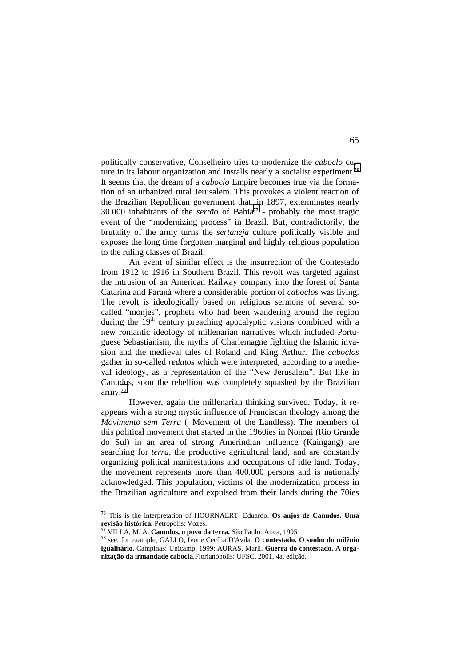politically conservative, Conselheiro tries to modernize the *caboclo* culture in its labour organization and installs nearly a socialist experiment.**<sup>76</sup>** It seems that the dream of a *caboclo* Empire becomes true via the formation of an urbanized rural Jerusalem. This provokes a violent reaction of the Brazilian Republican government that, in 1897, exterminates nearly 30.000 inhabitants of the *sertão* of Bahia**77** - probably the most tragic event of the "modernizing process" in Brazil. But, contradictorily, the brutality of the army turns the *sertaneja* culture politically visible and exposes the long time forgotten marginal and highly religious population to the ruling classes of Brazil.

An event of similar effect is the insurrection of the Contestado from 1912 to 1916 in Southern Brazil. This revolt was targeted against the intrusion of an American Railway company into the forest of Santa Catarina and Paraná where a considerable portion of *caboclos* was living. The revolt is ideologically based on religious sermons of several socalled "monjes", prophets who had been wandering around the region during the  $19<sup>th</sup>$  century preaching apocalyptic visions combined with a new romantic ideology of millenarian narratives which included Portuguese Sebastianism, the myths of Charlemagne fighting the Islamic invasion and the medieval tales of Roland and King Arthur. The *caboclos* gather in so-called *redutos* which were interpreted, according to a medieval ideology, as a representation of the "New Jerusalem". But like in Canudos, soon the rebellion was completely squashed by the Brazilian army.**<sup>78</sup>**

However, again the millenarian thinking survived. Today, it reappears with a strong mystic influence of Franciscan theology among the *Movimento sem Terra* (=Movement of the Landless). The members of this political movement that started in the 1960ies in Nonoai (Rio Grande do Sul) in an area of strong Amerindian influence (Kaingang) are searching for *terra*, the productive agricultural land, and are constantly organizing political manifestations and occupations of idle land. Today, the movement represents more than 400.000 persons and is nationally acknowledged. This population, victims of the modernization process in the Brazilian agriculture and expulsed from their lands during the 70ies

 $\overline{a}$ 

**<sup>76</sup>** This is the interpretation of HOORNAERT, Eduardo. **Os anjos de Canudos. Uma revisão histórica.** Petrópolis: Vozes. **<sup>77</sup>** VILLA, M. A. **Canudos, o povo da terra.** São Paulo: Ática, 1995 **<sup>78</sup>** see, for example, GALLO, Ivone Cecília D'Avila. **O contestado. O sonho do milênio**

**igualitário.** Campinas: Unicamp, 1999; AURAS, Marli. **Guerra do contestado. A organização da irmandade cabocla**.Florianópolis: UFSC, 2001, 4a. edição.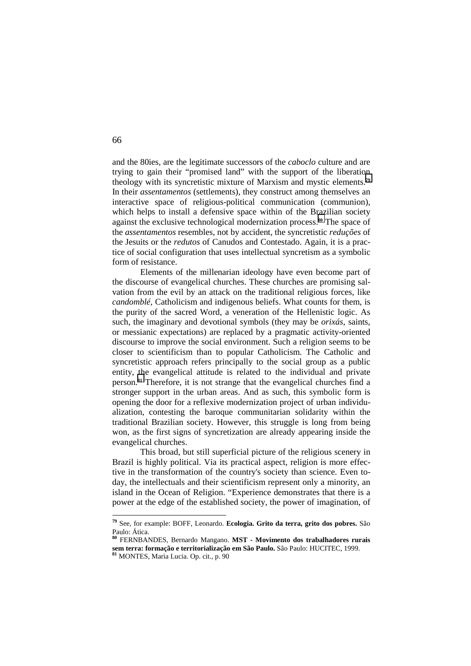and the 80ies, are the legitimate successors of the *caboclo* culture and are trying to gain their "promised land" with the support of the liberation theology with its syncretistic mixture of Marxism and mystic elements.**<sup>79</sup>** In their *assentamentos* (settlements), they construct among themselves an interactive space of religious-political communication (communion), which helps to install a defensive space within of the Brazilian society against the exclusive technological modernization process.**80** The space of the *assentamentos* resembles, not by accident, the syncretistic *reduções* of the Jesuits or the *redutos* of Canudos and Contestado. Again, it is a practice of social configuration that uses intellectual syncretism as a symbolic form of resistance.

Elements of the millenarian ideology have even become part of the discourse of evangelical churches. These churches are promising salvation from the evil by an attack on the traditional religious forces, like *candomblé*, Catholicism and indigenous beliefs. What counts for them, is the purity of the sacred Word, a veneration of the Hellenistic logic. As such, the imaginary and devotional symbols (they may be *orixás*, saints, or messianic expectations) are replaced by a pragmatic activity-oriented discourse to improve the social environment. Such a religion seems to be closer to scientificism than to popular Catholicism. The Catholic and syncretistic approach refers principally to the social group as a public entity, the evangelical attitude is related to the individual and private person.**81** Therefore, it is not strange that the evangelical churches find a stronger support in the urban areas. And as such, this symbolic form is opening the door for a reflexive modernization project of urban individualization, contesting the baroque communitarian solidarity within the traditional Brazilian society. However, this struggle is long from being won, as the first signs of syncretization are already appearing inside the evangelical churches.

This broad, but still superficial picture of the religious scenery in Brazil is highly political. Via its practical aspect, religion is more effective in the transformation of the country's society than science. Even today, the intellectuals and their scientificism represent only a minority, an island in the Ocean of Religion. "Experience demonstrates that there is a power at the edge of the established society, the power of imagination, of

66

**<sup>79</sup>** See, for example: BOFF, Leonardo. **Ecologia. Grito da terra, grito dos pobres.** São Paulo: Ática.

**<sup>80</sup>** FERNBANDES, Bernardo Mangano. **MST - Movimento dos trabalhadores rurais sem terra: formação e territorialização em São Paulo.** São Paulo: HUCITEC, 1999. **<sup>81</sup>** MONTES, Maria Lucia. Op. cit., p. 90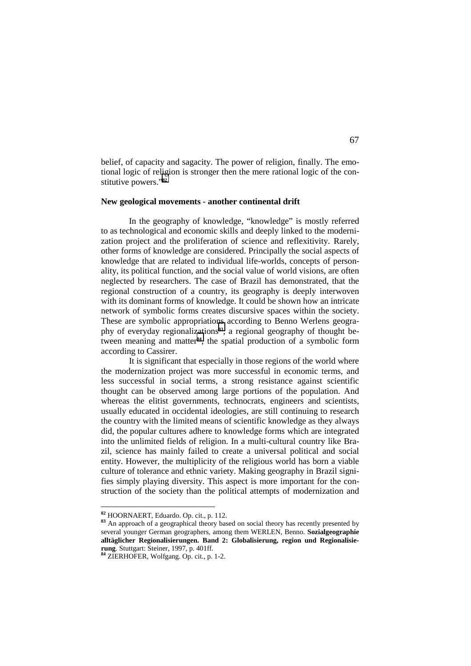belief, of capacity and sagacity. The power of religion, finally. The emotional logic of religion is stronger then the mere rational logic of the constitutive powers."**<sup>82</sup>**

### **New geological movements - another continental drift**

In the geography of knowledge, "knowledge" is mostly referred to as technological and economic skills and deeply linked to the modernization project and the proliferation of science and reflexitivity. Rarely, other forms of knowledge are considered. Principally the social aspects of knowledge that are related to individual life-worlds, concepts of personality, its political function, and the social value of world visions, are often neglected by researchers. The case of Brazil has demonstrated, that the regional construction of a country, its geography is deeply interwoven with its dominant forms of knowledge. It could be shown how an intricate network of symbolic forms creates discursive spaces within the society. These are symbolic appropriations according to Benno Werlens geography of everyday regionalizations**83**, a regional geography of thought between meaning and matter**84**, the spatial production of a symbolic form according to Cassirer.

It is significant that especially in those regions of the world where the modernization project was more successful in economic terms, and less successful in social terms, a strong resistance against scientific thought can be observed among large portions of the population. And whereas the elitist governments, technocrats, engineers and scientists, usually educated in occidental ideologies, are still continuing to research the country with the limited means of scientific knowledge as they always did, the popular cultures adhere to knowledge forms which are integrated into the unlimited fields of religion. In a multi-cultural country like Brazil, science has mainly failed to create a universal political and social entity. However, the multiplicity of the religious world has born a viable culture of tolerance and ethnic variety. Making geography in Brazil signifies simply playing diversity. This aspect is more important for the construction of the society than the political attempts of modernization and

**<sup>82</sup>** HOORNAERT, Eduardo. Op. cit., p. 112.

<sup>83</sup> An approach of a geographical theory based on social theory has recently presented by several younger German geographers, among them WERLEN, Benno. **Sozialgeographie alltäglicher Regionalisierungen. Band 2: Globalisierung, region und Regionalisierung**. Stuttgart: Steiner, 1997, p. 401ff. **<sup>84</sup>** ZIERHOFER, Wolfgang. Op. cit., p. 1-2.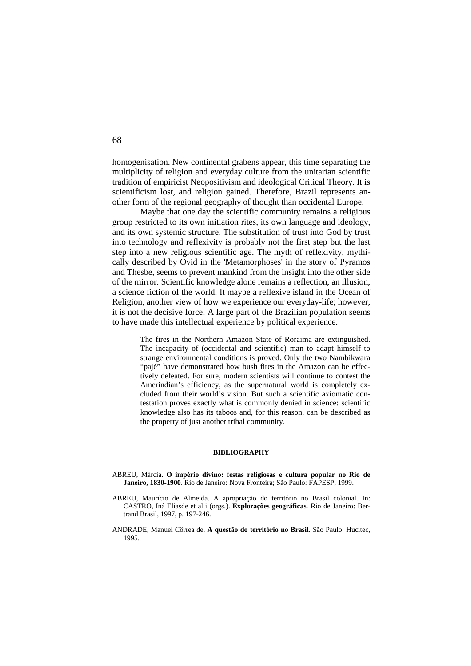homogenisation. New continental grabens appear, this time separating the multiplicity of religion and everyday culture from the unitarian scientific tradition of empiricist Neopositivism and ideological Critical Theory. It is scientificism lost, and religion gained. Therefore, Brazil represents another form of the regional geography of thought than occidental Europe.

Maybe that one day the scientific community remains a religious group restricted to its own initiation rites, its own language and ideology, and its own systemic structure. The substitution of trust into God by trust into technology and reflexivity is probably not the first step but the last step into a new religious scientific age. The myth of reflexivity, mythically described by Ovid in the 'Metamorphoses' in the story of Pyramos and Thesbe, seems to prevent mankind from the insight into the other side of the mirror. Scientific knowledge alone remains a reflection, an illusion, a science fiction of the world. It maybe a reflexive island in the Ocean of Religion, another view of how we experience our everyday-life; however, it is not the decisive force. A large part of the Brazilian population seems to have made this intellectual experience by political experience.

> The fires in the Northern Amazon State of Roraima are extinguished. The incapacity of (occidental and scientific) man to adapt himself to strange environmental conditions is proved. Only the two Nambikwara "pajé" have demonstrated how bush fires in the Amazon can be effectively defeated. For sure, modern scientists will continue to contest the Amerindian's efficiency, as the supernatural world is completely excluded from their world's vision. But such a scientific axiomatic contestation proves exactly what is commonly denied in science: scientific knowledge also has its taboos and, for this reason, can be described as the property of just another tribal community.

#### **BIBLIOGRAPHY**

- ABREU, Márcia. **O império divino: festas religiosas e cultura popular no Rio de Janeiro, 1830-1900**. Rio de Janeiro: Nova Fronteira; São Paulo: FAPESP, 1999.
- ABREU, Maurício de Almeida. A apropriação do território no Brasil colonial. In: CASTRO, Iná Eliasde et alii (orgs.). **Explorações geográficas**. Rio de Janeiro: Bertrand Brasil, 1997, p. 197-246.
- ANDRADE, Manuel Côrrea de. **A questão do território no Brasil**. São Paulo: Hucitec, 1995.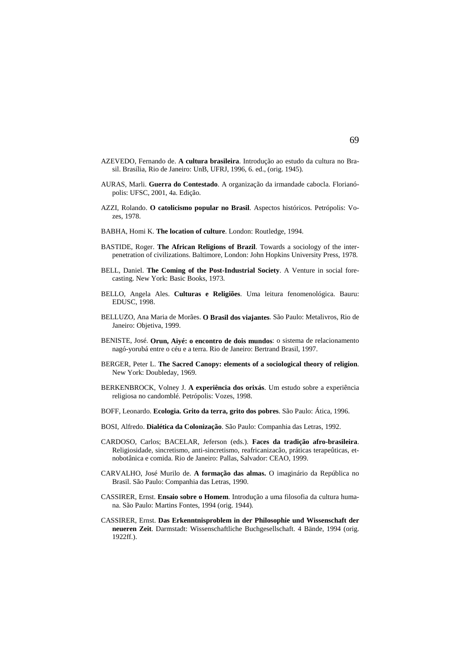- AZEVEDO, Fernando de. **A cultura brasileira**. Introdução ao estudo da cultura no Brasil. Brasília, Rio de Janeiro: UnB, UFRJ, 1996, 6. ed., (orig. 1945).
- AURAS, Marli. **Guerra do Contestado**. A organização da irmandade cabocla. Florianópolis: UFSC, 2001, 4a. Edição.
- AZZI, Rolando. **O catolicismo popular no Brasil**. Aspectos históricos. Petrópolis: Vozes, 1978.
- BABHA, Homi K. **The location of culture**. London: Routledge, 1994.
- BASTIDE, Roger. **The African Religions of Brazil**. Towards a sociology of the interpenetration of civilizations. Baltimore, London: John Hopkins University Press, 1978.
- BELL, Daniel. **The Coming of the Post-Industrial Society**. A Venture in social forecasting. New York: Basic Books, 1973.
- BELLO, Angela Ales. **Culturas e Religiões**. Uma leitura fenomenológica. Bauru: EDUSC, 1998.
- BELLUZO, Ana Maria de Morães. **O Brasil dos viajantes**. São Paulo: Metalivros, Rio de Janeiro: Objetiva, 1999.
- BENISTE, José. **Orun, Aiyé: o encontro de dois mundos**: o sistema de relacionamento nagó-yorubá entre o céu e a terra. Rio de Janeiro: Bertrand Brasil, 1997.
- BERGER, Peter L. **The Sacred Canopy: elements of a sociological theory of religion**. New York: Doubleday, 1969.
- BERKENBROCK, Volney J. **A experiência dos orixás**. Um estudo sobre a experiência religiosa no candomblé. Petrópolis: Vozes, 1998.
- BOFF, Leonardo. **Ecologia. Grito da terra, grito dos pobres**. São Paulo: Ática, 1996.
- BOSI, Alfredo. **Dialética da Colonização**. São Paulo: Companhia das Letras, 1992.
- CARDOSO, Carlos; BACELAR, Jeferson (eds.). **Faces da tradição afro-brasileira**. Religiosidade, sincretismo, anti-sincretismo, reafricanizacão, práticas terapeûticas, etnobotânica e comida. Rio de Janeiro: Pallas, Salvador: CEAO, 1999.
- CARVALHO, José Murilo de. **A formação das almas.** O imaginário da República no Brasil. São Paulo: Companhia das Letras, 1990.
- CASSIRER, Ernst. **Ensaio sobre o Homem**. Introdução a uma filosofia da cultura humana. São Paulo: Martins Fontes, 1994 (orig. 1944).
- CASSIRER, Ernst. **Das Erkenntnisproblem in der Philosophie und Wissenschaft der neueren Zeit**. Darmstadt: Wissenschaftliche Buchgesellschaft. 4 Bände, 1994 (orig. 1922ff.).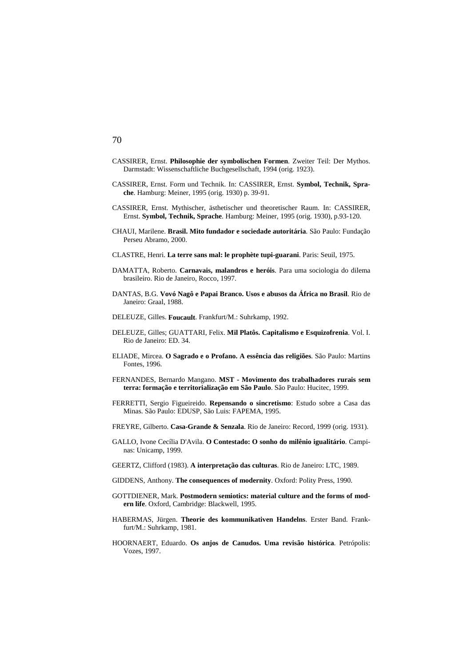- CASSIRER, Ernst. **Philosophie der symbolischen Formen**. Zweiter Teil: Der Mythos. Darmstadt: Wissenschaftliche Buchgesellschaft, 1994 (orig. 1923).
- CASSIRER, Ernst. Form und Technik. In: CASSIRER, Ernst. **Symbol, Technik, Sprache**. Hamburg: Meiner, 1995 (orig. 1930) p. 39-91.
- CASSIRER, Ernst. Mythischer, ästhetischer und theoretischer Raum. In: CASSIRER, Ernst. **Symbol, Technik, Sprache**. Hamburg: Meiner, 1995 (orig. 1930), p.93-120.
- CHAUI, Marilene. **Brasil. Mito fundador e sociedade autoritária**. São Paulo: Fundação Perseu Abramo, 2000.
- CLASTRE, Henri. **La terre sans mal: le prophète tupi-guarani**. Paris: Seuil, 1975.
- DAMATTA, Roberto. **Carnavais, malandros e heróis**. Para uma sociologia do dilema brasileiro. Rio de Janeiro, Rocco, 1997.
- DANTAS, B.G. **Vovó Nagô e Papai Branco. Usos e abusos da África no Brasil**. Rio de Janeiro: Graal, 1988.
- DELEUZE, Gilles. **Foucault**. Frankfurt/M.: Suhrkamp, 1992.
- DELEUZE, Gilles; GUATTARI, Felix. **Mil Platôs. Capitalismo e Esquizofrenia**. Vol. I. Rio de Janeiro: ED. 34.
- ELIADE, Mircea. **O Sagrado e o Profano. A essência das religiões**. São Paulo: Martins Fontes, 1996.
- FERNANDES, Bernardo Mangano. **MST Movimento dos trabalhadores rurais sem terra: formação e territorialização em São Paulo**. São Paulo: Hucitec, 1999.
- FERRETTI, Sergio Figueireido. **Repensando o sincretismo**: Estudo sobre a Casa das Minas. São Paulo: EDUSP, São Luis: FAPEMA, 1995.
- FREYRE, Gilberto. **Casa-Grande & Senzala**. Rio de Janeiro: Record, 1999 (orig. 1931).
- GALLO, Ivone Cecília D'Avila. **O Contestado: O sonho do milênio igualitário**. Campinas: Unicamp, 1999.
- GEERTZ, Clifford (1983). **A interpretação das culturas**. Rio de Janeiro: LTC, 1989.
- GIDDENS, Anthony. **The consequences of modernity**. Oxford: Polity Press, 1990.
- GOTTDIENER, Mark. **Postmodern semiotics: material culture and the forms of modern life**. Oxford, Cambridge: Blackwell, 1995.
- HABERMAS, Jürgen. **Theorie des kommunikativen Handelns**. Erster Band. Frankfurt/M.: Suhrkamp, 1981.
- HOORNAERT, Eduardo. **Os anjos de Canudos. Uma revisão histórica**. Petrópolis: Vozes, 1997.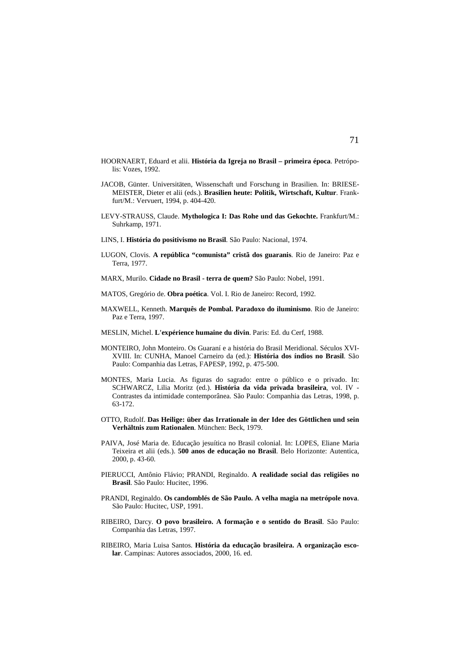- HOORNAERT, Eduard et alii. **História da Igreja no Brasil primeira época**. Petrópolis: Vozes, 1992.
- JACOB, Günter. Universitäten, Wissenschaft und Forschung in Brasilien. In: BRIESE-MEISTER, Dieter et alii (eds.). **Brasilien heute: Politik, Wirtschaft, Kultur**. Frankfurt/M.: Vervuert, 1994, p. 404-420.
- LEVY-STRAUSS, Claude. **Mythologica I: Das Rohe und das Gekochte.** Frankfurt/M.: Suhrkamp, 1971.
- LINS, I. **História do positivismo no Brasil**. São Paulo: Nacional, 1974.
- LUGON, Clovis. **A república "comunista" cristã dos guaranis**. Rio de Janeiro: Paz e Terra, 1977.
- MARX, Murilo. **Cidade no Brasil terra de quem?** São Paulo: Nobel, 1991.
- MATOS, Gregório de. **Obra poética**. Vol. I. Rio de Janeiro: Record, 1992.
- MAXWELL, Kenneth. **Marquês de Pombal. Paradoxo do iluminismo**. Rio de Janeiro: Paz e Terra, 1997.
- MESLIN, Michel. **L'expérience humaine du divin**. Paris: Ed. du Cerf, 1988.
- MONTEIRO, John Monteiro. Os Guaraní e a história do Brasil Meridional. Séculos XVI-XVIII. In: CUNHA, Manoel Carneiro da (ed.): **História dos índios no Brasil**. São Paulo: Companhia das Letras, FAPESP, 1992, p. 475-500.
- MONTES, Maria Lucia. As figuras do sagrado: entre o público e o privado. In: SCHWARCZ, Lilia Moritz (ed.). **História da vida privada brasileira**, vol. IV - Contrastes da intimidade contemporânea. São Paulo: Companhia das Letras, 1998, p. 63-172.
- OTTO, Rudolf. **Das Heilige: über das Irrationale in der Idee des Göttlichen und sein Verhältnis zum Rationalen**. München: Beck, 1979.
- PAIVA, José Maria de. Educação jesuítica no Brasil colonial. In: LOPES, Eliane Maria Teixeira et alii (eds.). **500 anos de educação no Brasil**. Belo Horizonte: Autentica, 2000, p. 43-60.
- PIERUCCI, Antônio Flávio; PRANDI, Reginaldo. **A realidade social das religiões no Brasil**. São Paulo: Hucitec, 1996.
- PRANDI, Reginaldo. **Os candomblés de São Paulo. A velha magia na metrópole nova**. São Paulo: Hucitec, USP, 1991.
- RIBEIRO, Darcy. **O povo brasileiro. A formação e o sentido do Brasil**. São Paulo: Companhia das Letras, 1997.
- RIBEIRO, Maria Luisa Santos. **História da educação brasileira. A organização escolar**. Campinas: Autores associados, 2000, 16. ed.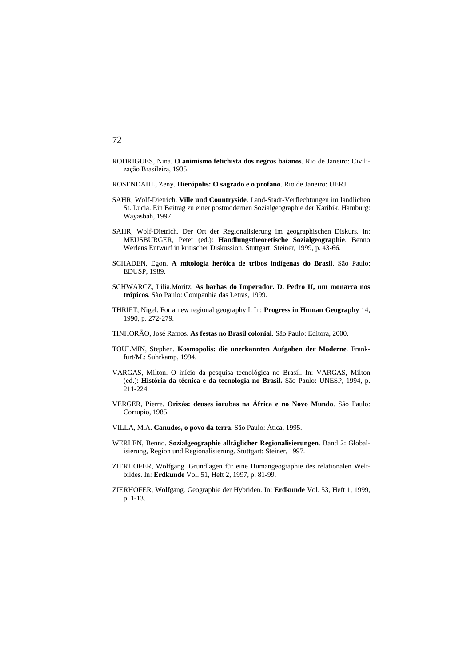- RODRIGUES, Nina. **O animismo fetichista dos negros baianos**. Rio de Janeiro: Civilização Brasileira, 1935.
- ROSENDAHL, Zeny. **Hierópolis: O sagrado e o profano**. Rio de Janeiro: UERJ.
- SAHR, Wolf-Dietrich. **Ville und Countryside**. Land-Stadt-Verflechtungen im ländlichen St. Lucia. Ein Beitrag zu einer postmodernen Sozialgeographie der Karibik. Hamburg: Wayasbah, 1997.
- SAHR, Wolf-Dietrich. Der Ort der Regionalisierung im geographischen Diskurs. In: MEUSBURGER, Peter (ed.): **Handlungstheoretische Sozialgeographie**. Benno Werlens Entwurf in kritischer Diskussion. Stuttgart: Steiner, 1999, p. 43-66.
- SCHADEN, Egon. **A mitologia heróica de tribos indígenas do Brasil**. São Paulo: EDUSP, 1989.
- SCHWARCZ, Lilia.Moritz. **As barbas do Imperador. D. Pedro II, um monarca nos trópicos**. São Paulo: Companhia das Letras, 1999.
- THRIFT, Nigel. For a new regional geography I. In: **Progress in Human Geography** 14, 1990, p. 272-279.
- TINHORÃO, José Ramos. **As festas no Brasil colonial**. São Paulo: Editora, 2000.
- TOULMIN, Stephen. **Kosmopolis: die unerkannten Aufgaben der Moderne**. Frankfurt/M.: Suhrkamp, 1994.
- VARGAS, Milton. O início da pesquisa tecnológica no Brasil. In: VARGAS, Milton (ed.): **História da técnica e da tecnologia no Brasil.** São Paulo: UNESP, 1994, p. 211-224.
- VERGER, Pierre. **Orixás: deuses iorubas na África e no Novo Mundo**. São Paulo: Corrupio, 1985.
- VILLA, M.A. **Canudos, o povo da terra**. São Paulo: Ática, 1995.
- WERLEN, Benno. **Sozialgeographie alltäglicher Regionalisierungen**. Band 2: Globalisierung, Region und Regionalisierung. Stuttgart: Steiner, 1997.
- ZIERHOFER, Wolfgang. Grundlagen für eine Humangeographie des relationalen Weltbildes. In: **Erdkunde** Vol. 51, Heft 2, 1997, p. 81-99.
- ZIERHOFER, Wolfgang. Geographie der Hybriden. In: **Erdkunde** Vol. 53, Heft 1, 1999, p. 1-13.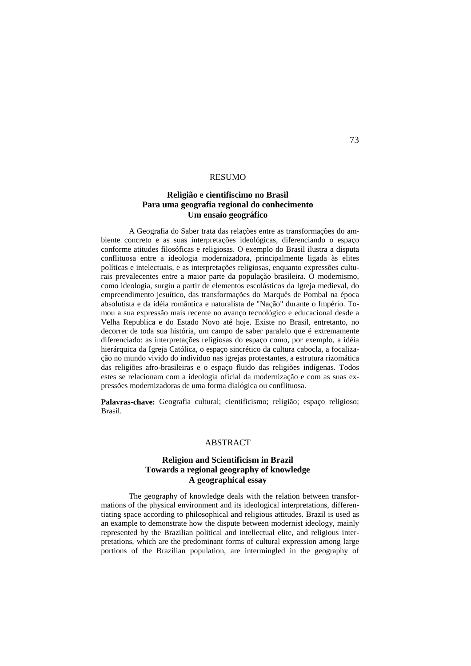### RESUMO

# **Religião e cientifiscimo no Brasil Para uma geografia regional do conhecimento Um ensaio geográfico**

A Geografia do Saber trata das relações entre as transformações do ambiente concreto e as suas interpretações ideológicas, diferenciando o espaço conforme atitudes filosóficas e religiosas. O exemplo do Brasil ilustra a disputa conflituosa entre a ideologia modernizadora, principalmente ligada às elites políticas e intelectuais, e as interpretações religiosas, enquanto expressões culturais prevalecentes entre a maior parte da população brasileira. O modernismo, como ideologia, surgiu a partir de elementos escolásticos da Igreja medieval, do empreendimento jesuítico, das transformações do Marquês de Pombal na época absolutista e da idéia romântica e naturalista de "Nação" durante o Império. Tomou a sua expressão mais recente no avanço tecnológico e educacional desde a Velha Republica e do Estado Novo até hoje. Existe no Brasil, entretanto, no decorrer de toda sua história, um campo de saber paralelo que é extremamente diferenciado: as interpretações religiosas do espaço como, por exemplo, a idéia hierárquica da Igreja Católica, o espaço sincrético da cultura cabocla, a focalização no mundo vivido do indivíduo nas igrejas protestantes, a estrutura rizomática das religiões afro-brasileiras e o espaço fluido das religiões indígenas. Todos estes se relacionam com a ideologia oficial da modernização e com as suas expressões modernizadoras de uma forma dialógica ou conflituosa.

**Palavras-chave:** Geografia cultural; cientificismo; religião; espaço religioso; Brasil.

## **ABSTRACT**

# **Religion and Scientificism in Brazil Towards a regional geography of knowledge A geographical essay**

The geography of knowledge deals with the relation between transformations of the physical environment and its ideological interpretations, differentiating space according to philosophical and religious attitudes. Brazil is used as an example to demonstrate how the dispute between modernist ideology, mainly represented by the Brazilian political and intellectual elite, and religious interpretations, which are the predominant forms of cultural expression among large portions of the Brazilian population, are intermingled in the geography of